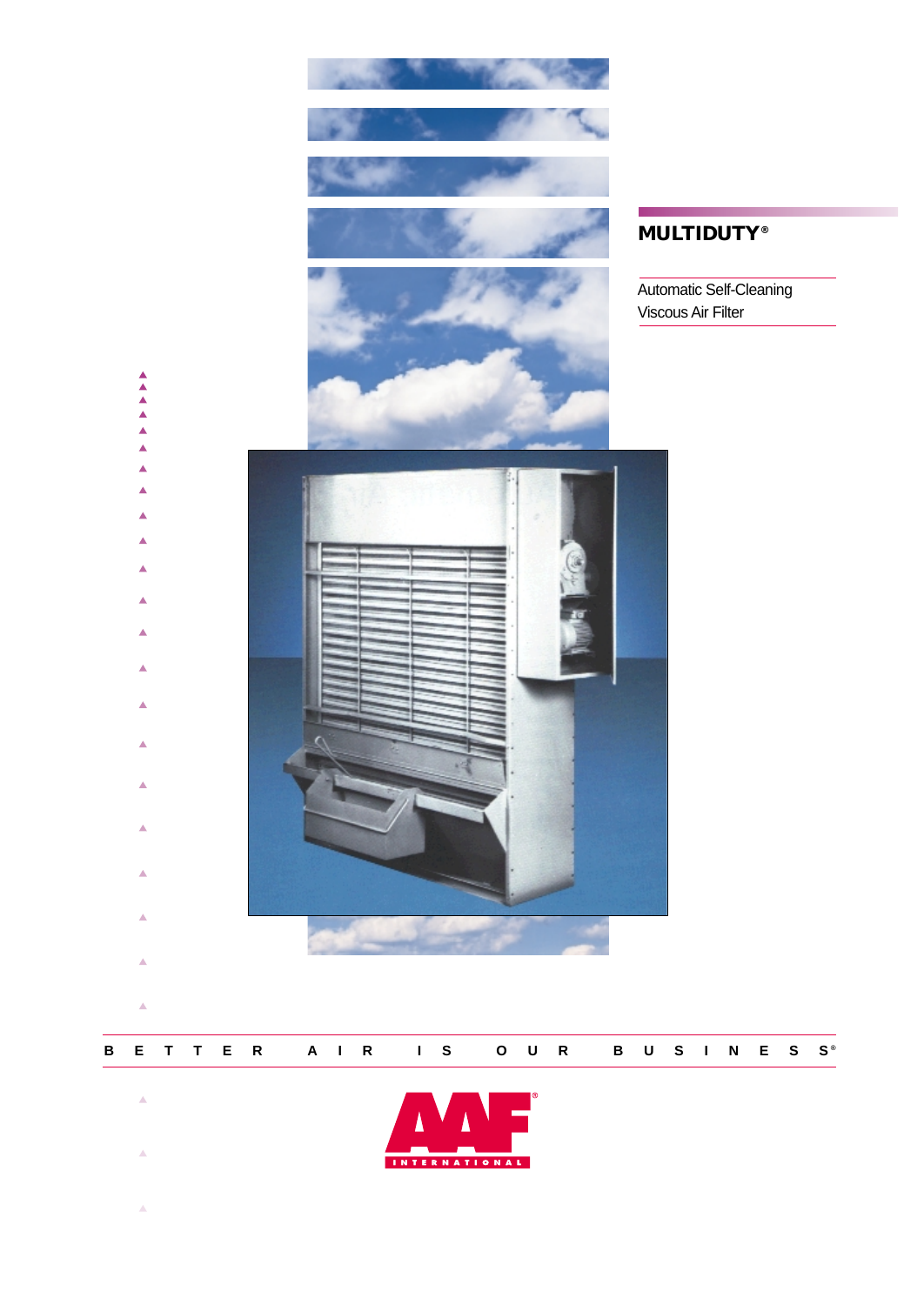

**BETTER AIR IS OUR BUSINESS ®**

INTERNATIONAL

 $\bar{\Delta}$ 

 $\bar{\triangle}$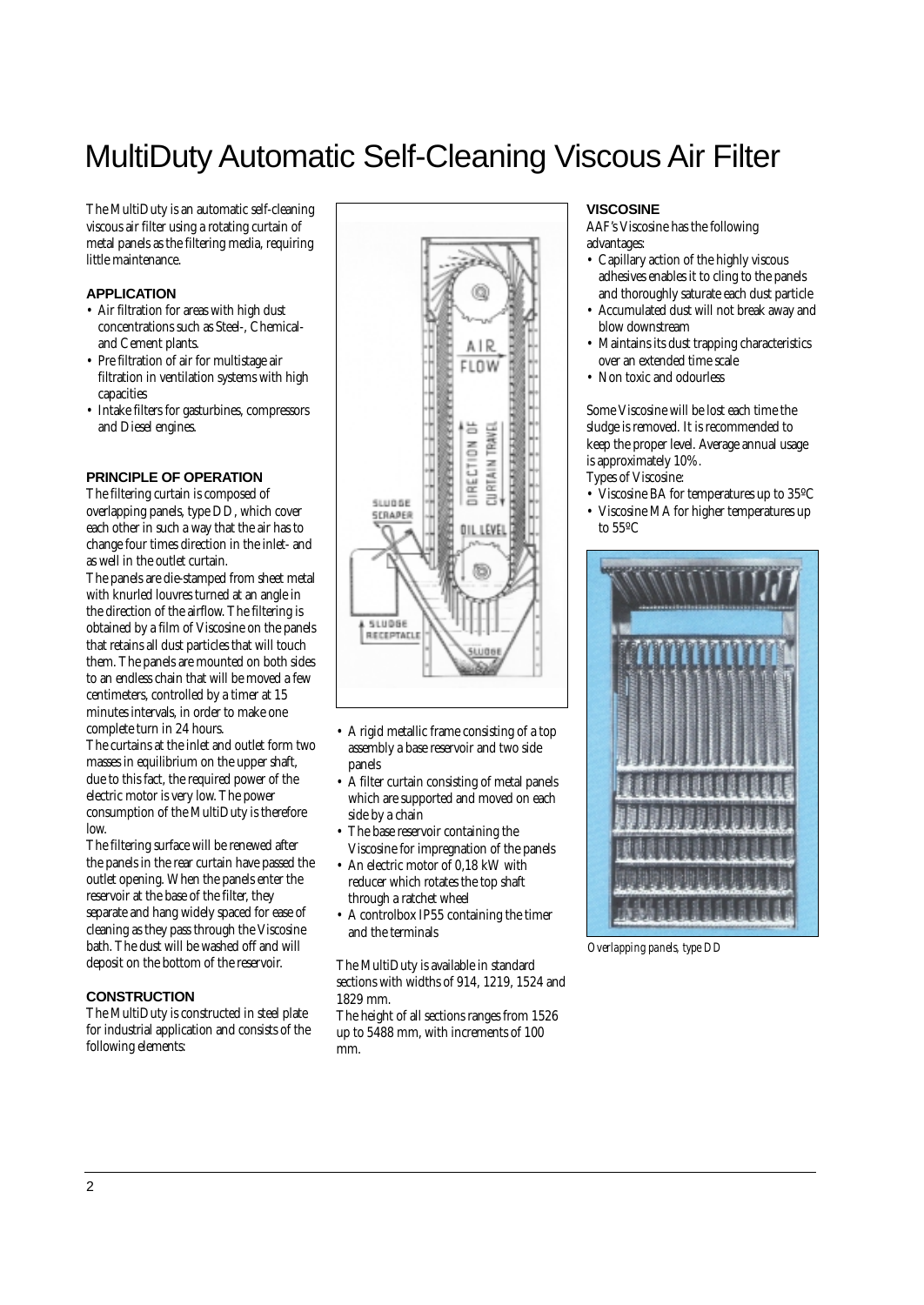# MultiDuty Automatic Self-Cleaning Viscous Air Filter

The MultiDuty is an automatic self-cleaning viscous air filter using a rotating curtain of metal panels as the filtering media, requiring little maintenance.

## **APPLICATION**

- Air filtration for areas with high dust concentrations such as Steel-, Chemicaland Cement plants.
- Pre filtration of air for multistage air filtration in ventilation systems with high capacities
- Intake filters for gasturbines, compressors and Diesel engines.

#### **PRINCIPLE OF OPERATION**

The filtering curtain is composed of overlapping panels, type DD, which cover each other in such a way that the air has to change four times direction in the inlet- and as well in the outlet curtain.

The panels are die-stamped from sheet metal with knurled louvres turned at an angle in the direction of the airflow. The filtering is obtained by a film of Viscosine on the panels that retains all dust particles that will touch them. The panels are mounted on both sides to an endless chain that will be moved a few centimeters, controlled by a timer at 15 minutes intervals, in order to make one complete turn in 24 hours.

The curtains at the inlet and outlet form two masses in equilibrium on the upper shaft, due to this fact, the required power of the electric motor is very low. The power consumption of the MultiDuty is therefore low.

The filtering surface will be renewed after the panels in the rear curtain have passed the outlet opening. When the panels enter the reservoir at the base of the filter, they separate and hang widely spaced for ease of cleaning as they pass through the Viscosine bath. The dust will be washed off and will deposit on the bottom of the reservoir.

#### **CONSTRUCTION**

The MultiDuty is constructed in steel plate for industrial application and consists of the following elements:



- A rigid metallic frame consisting of a top assembly a base reservoir and two side panels
- A filter curtain consisting of metal panels which are supported and moved on each side by a chain
- The base reservoir containing the Viscosine for impregnation of the panels
- An electric motor of 0,18 kW with reducer which rotates the top shaft through a ratchet wheel
- A controlbox IP55 containing the timer and the terminals

The MultiDuty is available in standard sections with widths of 914, 1219, 1524 and 1829 mm.

The height of all sections ranges from 1526 up to 5488 mm, with increments of 100 mm.

## **VISCOSINE**

AAF's Viscosine has the following advantages:

- Capillary action of the highly viscous adhesives enables it to cling to the panels and thoroughly saturate each dust particle
- Accumulated dust will not break away and blow downstream
- Maintains its dust trapping characteristics over an extended time scale
- Non toxic and odourless

Some Viscosine will be lost each time the sludge is removed. It is recommended to keep the proper level. Average annual usage is approximately 10%.

- Types of Viscosine:
- Viscosine BA for temperatures up to 35ºC
- Viscosine MA for higher temperatures up to 55ºC



*Overlapping panels, type DD*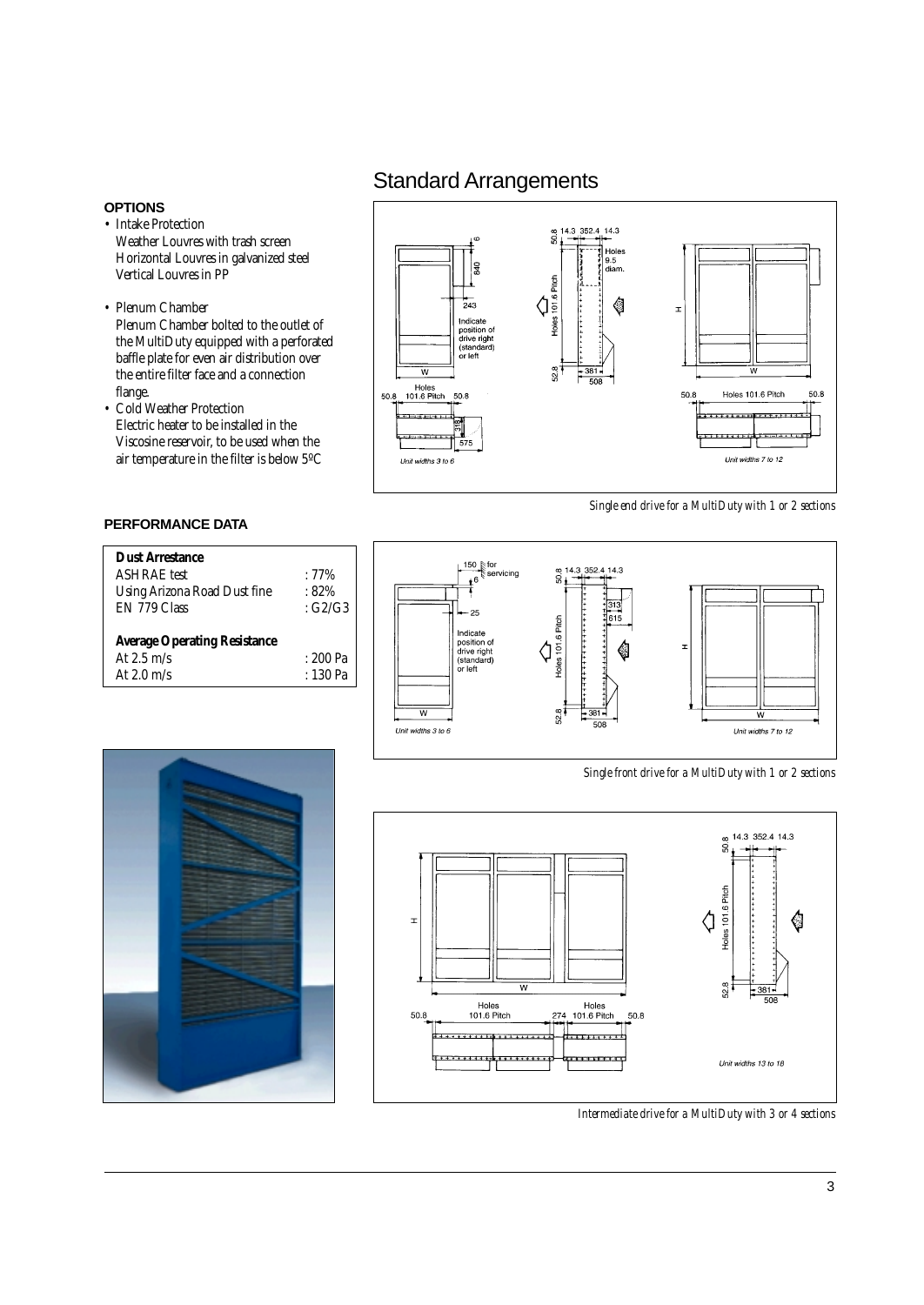#### **OPTIONS**

- Intake Protection Weather Louvres with trash screen Horizontal Louvres in galvanized steel Vertical Louvres in PP
- *•* Plenum Chamber Plenum Chamber bolted to the outlet of the MultiDuty equipped with a perforated baffle plate for even air distribution over the entire filter face and a connection flange.
- *•* Cold Weather Protection Electric heater to be installed in the Viscosine reservoir, to be used when the air temperature in the filter is below 5ºC

## **PERFORMANCE DATA**

| <b>Dust Arrestance</b>              |               |  |  |  |  |
|-------------------------------------|---------------|--|--|--|--|
| <b>ASHRAE</b> test                  | $:77\%$       |  |  |  |  |
| Using Arizona Road Dust fine        | $:82\%$       |  |  |  |  |
| EN 779 Class                        | $\cdot$ G2/G3 |  |  |  |  |
| <b>Average Operating Resistance</b> |               |  |  |  |  |
| At $2.5 \text{ m/s}$                | : 200 Pa      |  |  |  |  |
| At $2.0 \text{ m/s}$                | $: 130$ Pa    |  |  |  |  |

# Standard Arrangements



*Single end drive for a MultiDuty with 1 or 2 sections*



*Single front drive for a MultiDuty with 1 or 2 sections*



*Intermediate drive for a MultiDuty with 3 or 4 sections*